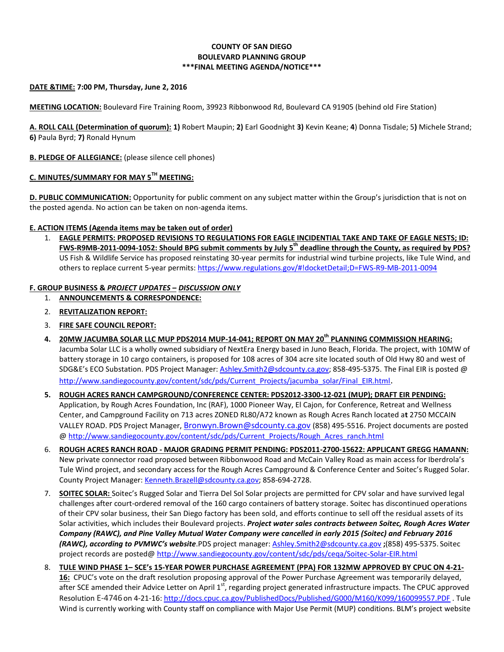### **COUNTY OF SAN DIEGO BOULEVARD PLANNING GROUP \*\*\*FINAL MEETING AGENDA/NOTICE\*\*\***

### **DATE &TIME: 7:00 PM, Thursday, June 2, 2016**

**MEETING LOCATION:** Boulevard Fire Training Room, 39923 Ribbonwood Rd, Boulevard CA 91905 (behind old Fire Station)

**A. ROLL CALL (Determination of quorum): 1)** Robert Maupin; **2)** Earl Goodnight **3)** Kevin Keane; **4**) Donna Tisdale; 5**)** Michele Strand; **6)** Paula Byrd; **7)** Ronald Hynum

#### **B. PLEDGE OF ALLEGIANCE:** (please silence cell phones)

# **C. MINUTES/SUMMARY FOR MAY 5TH MEETING:**

**D. PUBLIC COMMUNICATION:** Opportunity for public comment on any subject matter within the Group's jurisdiction that is not on the posted agenda. No action can be taken on non-agenda items.

### **E. ACTION ITEMS (Agenda items may be taken out of order)**

1. **EAGLE PERMITS: PROPOSED REVISIONS TO REGULATIONS FOR EAGLE INCIDENTIAL TAKE AND TAKE OF EAGLE NESTS; ID: FWS-R9MB-2011-0094-1052: Should BPG submit comments by July 5th deadline through the County, as required by PDS?** US Fish & Wildlife Service has proposed reinstating 30-year permits for industrial wind turbine projects, like Tule Wind, and others to replace current 5-year permits: <https://www.regulations.gov/#!docketDetail;D=FWS-R9-MB-2011-0094>

### **F. GROUP BUSINESS &** *PROJECT UPDATES* **–** *DISCUSSION ONLY*

- 1. **ANNOUNCEMENTS & CORRESPONDENCE:**
- 2. **REVITALIZATION REPORT:**
- 3. **FIRE SAFE COUNCIL REPORT:**
- **4. 20MW JACUMBA SOLAR LLC MUP PDS2014 MUP-14-041; REPORT ON MAY 20th PLANNING COMMISSION HEARING:** Jacumba Solar LLC is a wholly owned subsidiary of NextEra Energy based in Juno Beach, Florida. The project, with 10MW of battery storage in 10 cargo containers, is proposed for 108 acres of 304 acre site located south of Old Hwy 80 and west of SDG&E's ECO Substation. PDS Project Manager: Ashley. Smith 2@sdcounty.ca.gov; 858-495-5375. The Final EIR is posted @ [http://www.sandiegocounty.gov/content/sdc/pds/Current\\_Projects/jacumba\\_solar/Final\\_EIR.html](http://www.sandiegocounty.gov/content/sdc/pds/Current_Projects/jacumba_solar/Final_EIR.html).
- **5. ROUGH ACRES RANCH CAMPGROUND/CONFERENCE CENTER: PDS2012-3300-12-021 (MUP); DRAFT EIR PENDING:** Application, by Rough Acres Foundation, Inc (RAF), 1000 Pioneer Way, El Cajon, for Conference, Retreat and Wellness Center, and Campground Facility on 713 acres ZONED RL80/A72 known as Rough Acres Ranch located a**t** 2750 MCCAIN VALLEY ROAD. PDS Project Manager, [Bronwyn.Brown@sdcounty.ca.gov](mailto:Bronwyn.Brown@sdcounty.ca.gov) (858) 495-5516. Project documents are posted @ [http://www.sandiegocounty.gov/content/sdc/pds/Current\\_Projects/Rough\\_Acres\\_ranch.html](http://www.sandiegocounty.gov/content/sdc/pds/Current_Projects/Rough_Acres_ranch.html)
- 6. **ROUGH ACRES RANCH ROAD - MAJOR GRADING PERMIT PENDING: PDS2011-2700-15622: APPLICANT GREGG HAMANN:** New private connector road proposed between Ribbonwood Road and McCain Valley Road as main access for Iberdrola's Tule Wind project, and secondary access for the Rough Acres Campground & Conference Center and Soitec's Rugged Solar. County Project Manager: [Kenneth.Brazell@sdcounty.ca.gov;](mailto:Kenneth.Brazell@sdcounty.ca.gov) 858-694-2728.
- 7. **SOITEC SOLAR:** Soitec's Rugged Solar and Tierra Del Sol Solar projects are permitted for CPV solar and have survived legal challenges after court-ordered removal of the 160 cargo containers of battery storage. Soitec has discontinued operations of their CPV solar business, their San Diego factory has been sold, and efforts continue to sell off the residual assets of its Solar activities, which includes their Boulevard projects. *Project water sales contracts between Soitec, Rough Acres Water Company (RAWC), and Pine Valley Mutual Water Company were cancelled in early 2015 (Soitec) and February 2016 (RAWC), according to PVMWC's website*.PDS project manager: [Ashley.Smith2@sdcounty.ca.gov](mailto:Ashley.Smith2@sdcounty.ca.gov) **;**(858) 495-5375. Soitec project records are posted@<http://www.sandiegocounty.gov/content/sdc/pds/ceqa/Soitec-Solar-EIR.html>
- 8. **TULE WIND PHASE 1– SCE's 15-YEAR POWER PURCHASE AGREEMENT (PPA) FOR 132MW APPROVED BY CPUC ON 4-21- 16:** CPUC's vote on the draft resolution proposing approval of the Power Purchase Agreement was temporarily delayed, after SCE amended their Advice Letter on April 1<sup>st</sup>, regarding project generated infrastructure impacts. The CPUC approved Resolution E-4746 on 4-21-16:<http://docs.cpuc.ca.gov/PublishedDocs/Published/G000/M160/K099/160099557.PDF> . Tule Wind is currently working with County staff on compliance with Major Use Permit (MUP) conditions. BLM's project website